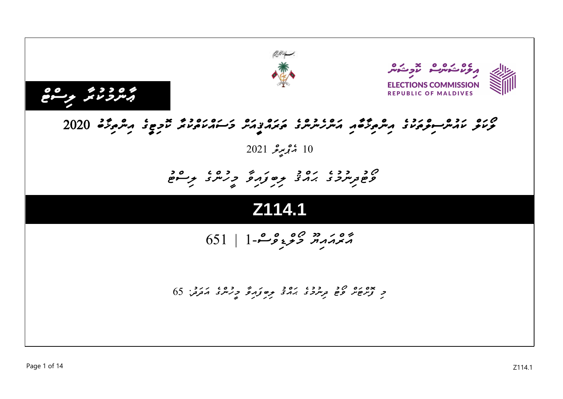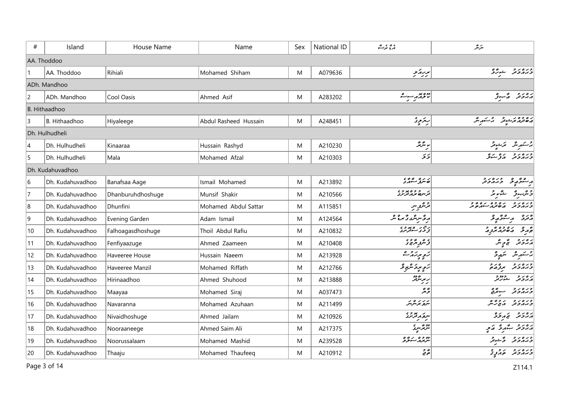| #              | Island           | House Name        | Name                  | Sex       | National ID | ، ه ، ره<br>مربح ترت                         | ىئرىتر                            |
|----------------|------------------|-------------------|-----------------------|-----------|-------------|----------------------------------------------|-----------------------------------|
|                | AA. Thoddoo      |                   |                       |           |             |                                              |                                   |
|                | AA. Thoddoo      | Rihiali           | Mohamed Shiham        | M         | A079636     | مررد کر<br>ر                                 | ورەرو جوڭۇ                        |
|                | ADh. Mandhoo     |                   |                       |           |             |                                              |                                   |
| $\mathcal{P}$  | ADh. Mandhoo     | Cool Oasis        | Ahmed Asif            | M         | A283202     | « ه پر مر به به<br>  ۱ مر بر مر              | رەرد شەر                          |
|                | B. Hithaadhoo    |                   |                       |           |             |                                              |                                   |
| 3              | B. Hithaadhoo    | Hiyaleege         | Abdul Rasheed Hussain | M         | A248451     | ر پرېو <sup>ي</sup>                          | رەدە ئەخبىر ئەسكىرىش              |
|                | Dh. Hulhudheli   |                   |                       |           |             |                                              |                                   |
| $\overline{4}$ | Dh. Hulhudheli   | Kinaaraa          | Hussain Rashyd        | ${\sf M}$ | A210230     | ىرىترىتر                                     |                                   |
| 5              | Dh. Hulhudheli   | Mala              | Mohamed Afzal         | ${\sf M}$ | A210303     | ۇتى                                          |                                   |
|                | Dh. Kudahuvadhoo |                   |                       |           |             |                                              |                                   |
| 6              | Dh. Kudahuvadhoo | Banafsaa Aage     | Ismail Mohamed        | ${\sf M}$ | A213892     | ە ئىروپە ئەم                                 | بر عوصر و دره د د                 |
| $\overline{7}$ | Dh. Kudahuvadhoo | Dhanburuhdhoshuge | Munsif Shakir         | M         | A210566     | ر در و و ه پر د پ<br>ترس ه بر د ترس          | د عرب د عمومتر                    |
| 8              | Dh. Kudahuvadhoo | <b>Dhunfini</b>   | Mohamed Abdul Sattar  | M         | A115851     | قرینگویلر<br>                                | 22010201220122                    |
| 9              | Dh. Kudahuvadhoo | Evening Garden    | Adam Ismail           | M         | A124564     | رە بىرىش <sub>ىد</sub> ى<br>سىرىشىد ئەسمى    | أرتره أراستحاريكم                 |
| 10             | Dh. Kudahuvadhoo | Falhoagasdhoshuge | Thoil Abdul Rafiu     | M         | A210832     | رج ر حد د د<br>نوکوی سوټرنوی                 | 2020 1020 218                     |
| 11             | Dh. Kudahuvadhoo | Fenfiyaazuge      | Ahmed Zaameen         | M         | A210408     | ئۇ شرىر ش <sup>ىرى</sup> ئ                   | پرویر گچ چ پر                     |
| 12             | Dh. Kudahuvadhoo | Haveeree House    | Hussain Naeem         | M         | A213928     | ئە <sub>ھە بىرى</sub> رۇ شە                  | 2-كىرىر سىرگى                     |
| 13             | Dh. Kudahuvadhoo | Haveeree Manzil   | Mohamed Riffath       | M         | A212766     | ر <sub>َءٍ برِ دَ مْر<sub>ْبح</sub> وْ</sub> | ور ور و د و د<br>حدمات مرزمان     |
| 14             | Dh. Kudahuvadhoo | Hirinaadhoo       | Ahmed Shuhood         | M         | A213888     | ر بر برود<br>بر برگرفتر                      | ره رح دودو<br>د برو تر مشورتر     |
| 15             | Dh. Kudahuvadhoo | Maayaa            | Mohamed Siraj         | M         | A037473     | ۇتۇ                                          | وره د و د وه<br>د بربرو تر سوټرنج |
| 16             | Dh. Kudahuvadhoo | Navaranna         | Mohamed Azuhaan       | M         | A211499     | ىرىر بەر<br>سرچە ئىرىش                       | ورەرو رومو                        |
| 17             | Dh. Kudahuvadhoo | Nivaidhoshuge     | Ahmed Jailam          | ${\sf M}$ | A210926     | سرچە جە ج<br>سرچە سرچىرى                     | أبرورو وترتز                      |
| 18             | Dh. Kudahuvadhoo | Nooraaneege       | Ahmed Saim Ali        | M         | A217375     | دو پر<br>سربر سرپر                           | أيه ود و شهره المو                |
| 19             | Dh. Kudahuvadhoo | Noorussalaam      | Mohamed Mashid        | M         | A239528     | دد ده ر ره ه<br>سربر پر سنوگر                | ورەرو ۇھەر                        |
| 20             | Dh. Kudahuvadhoo | Thaaju            | Mohamed Thaufeeq      | ${\sf M}$ | A210912     | پر و<br>حوي                                  | ورەر در در                        |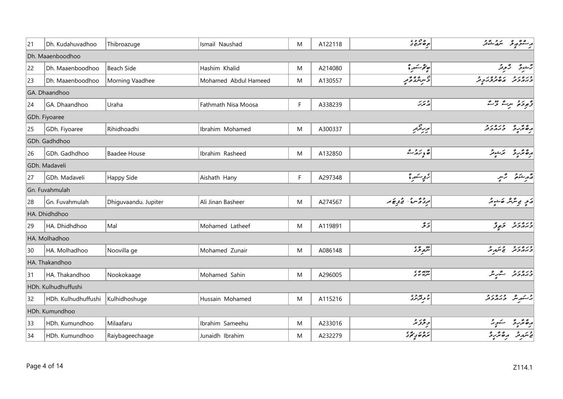| 21 | Dh. Kudahuvadhoo    | Thibroazuge          | Ismail Naushad       | M | A122118 | ه ۵ ۵ و ٤<br>مون مربع ک           | ە شۇرىق سەر شۇر                                                                                                |
|----|---------------------|----------------------|----------------------|---|---------|-----------------------------------|----------------------------------------------------------------------------------------------------------------|
|    | Dh. Maaenboodhoo    |                      |                      |   |         |                                   |                                                                                                                |
| 22 | Dh. Maaenboodhoo    | Beach Side           | Hashim Khalid        | M | A214080 | <br>  پېڅو ستور ؟<br>             | رٌجودٌ رُّمِرْ                                                                                                 |
| 23 | Dh. Maaenboodhoo    | Morning Vaadhee      | Mohamed Abdul Hameed | M | A130557 | ە بىر بىرى ئەتىر.<br>مەسر بىرى ئى | وره رو ده وه رو<br><i>و پرووند م</i> ه تر <i>و پر</i> ونر                                                      |
|    | GA. Dhaandhoo       |                      |                      |   |         |                                   |                                                                                                                |
| 24 | GA. Dhaandhoo       | Uraha                | Fathmath Nisa Moosa  | F | A338239 | ەرر                               | و گوره مرت وقت                                                                                                 |
|    | GDh. Fiyoaree       |                      |                      |   |         |                                   |                                                                                                                |
| 25 | GDh. Fiyoaree       | Rihidhoadhi          | Ibrahim Mohamed      | M | A300337 | ىرىر قرىر<br>مەركى                | ת היי כמחכת                                                                                                    |
|    | GDh. Gadhdhoo       |                      |                      |   |         |                                   |                                                                                                                |
| 26 | GDh. Gadhdhoo       | <b>Baadee House</b>  | Ibrahim Rasheed      | M | A132850 | ە ئەيرىر مە                       | رەترىر ترىنوتر                                                                                                 |
|    | GDh. Madaveli       |                      |                      |   |         |                                   |                                                                                                                |
| 27 | GDh. Madaveli       | Happy Side           | Aishath Hany         | F | A297348 | ر بوسکور ؟<br>مربع مر             | ۇرىشكۇ گېر                                                                                                     |
|    | Gn. Fuvahmulah      |                      |                      |   |         |                                   |                                                                                                                |
| 28 | Gn. Fuvahmulah      | Dhiguvaandu. Jupiter | Ali Jinan Basheer    | M | A274567 | ترى ئۇسىق قى توقع ئىر             | ړَې وِ شَرْش هَشِي                                                                                             |
|    | HA. Dhidhdhoo       |                      |                      |   |         |                                   |                                                                                                                |
| 29 | HA. Dhidhdhoo       | $\vert$ Mal          | Mohamed Latheef      | M | A119891 | ئەبى                              | ورەرو كەر                                                                                                      |
|    | HA. Molhadhoo       |                      |                      |   |         |                                   |                                                                                                                |
| 30 | HA. Molhadhoo       | Noovilla ge          | Mohamed Zunair       | M | A086148 | دد په په<br>سرچ مرد               | כנסנכ בעגב                                                                                                     |
|    | HA. Thakandhoo      |                      |                      |   |         |                                   |                                                                                                                |
| 31 | HA. Thakandhoo      | Nookokaage           | Mohamed Sahin        | M | A296005 | وویر بر بر<br>سربر رک             | ورەرو شەرش                                                                                                     |
|    | HDh. Kulhudhuffushi |                      |                      |   |         |                                   |                                                                                                                |
| 32 | HDh. Kulhudhuffushi | Kulhidhoshuge        | Hussain Mohamed      | M | A115216 | د په د د ،                        | ج کے مرکز دیکھ دیکھ کر دیکھ کر دیکھ کر دیکھ کر دیکھ کر دیکھ کر دیکھ کر دیکھ کر دیکھ کر دیکھ کا کامکھ کے باہ کا |
|    | HDh. Kumundhoo      |                      |                      |   |         |                                   |                                                                                                                |
| 33 | HDh. Kumundhoo      | Milaafaru            | Ibrahim Sameehu      | M | A233016 | ج مَحْرَقِ مَرْ                   | ە ھېڭرىرى<br>برھېڭرىرى<br>سەر پر                                                                               |
| 34 | HDh. Kumundhoo      | Raiybageechaage      | Junaidh Ibrahim      | M | A232279 | پره پر په <sup>پ</sup>            | ويمدنر أرە ئرىر                                                                                                |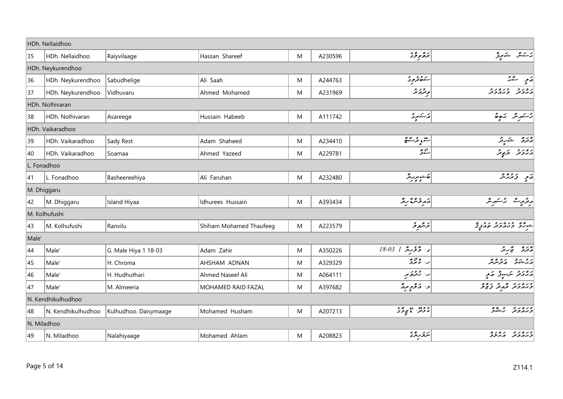|             | HDh. Nellaidhoo    |                       |                         |           |         |                                                 |                                                                                                                                                                                                                                                                                                                |
|-------------|--------------------|-----------------------|-------------------------|-----------|---------|-------------------------------------------------|----------------------------------------------------------------------------------------------------------------------------------------------------------------------------------------------------------------------------------------------------------------------------------------------------------------|
| 35          | HDh. Nellaidhoo    | Raiyvilaage           | Hassan Shareef          | M         | A230596 | ىرە ھەتتى<br>ئىزە ھەمىسى                        | پرستمبر شمعری                                                                                                                                                                                                                                                                                                  |
|             | HDh. Neykurendhoo  |                       |                         |           |         |                                                 |                                                                                                                                                                                                                                                                                                                |
| 36          | HDh. Neykurendhoo  | Sabudhelige           | Ali Saah                | ${\sf M}$ | A244763 | ر د د ،<br>سخت تر پور                           | $\begin{bmatrix} 2 & 2 & 2 & 2 \ 2 & 2 & 2 & 2 \ 2 & 2 & 2 & 2 \ 2 & 2 & 2 & 2 \ 2 & 2 & 2 & 2 \ 2 & 2 & 2 & 2 \ 2 & 2 & 2 & 2 \ 2 & 2 & 2 & 2 \ 2 & 2 & 2 & 2 \ 2 & 2 & 2 & 2 \ 2 & 2 & 2 & 2 \ 2 & 2 & 2 & 2 \ 2 & 2 & 2 & 2 \ 2 & 2 & 2 & 2 \ 2 & 2 & 2 & 2 \ 2 & 2 & 2 & 2 \ 2 & 2 & 2 & 2 \ 2 & 2 & 2 & $ |
| 37          | HDh. Neykurendhoo  | Vidhuvaru             | Ahmed Mohamed           | ${\sf M}$ | A231969 | و در د<br>و ترو بر                              | נפני כנסני<br>גיבע ביגבע                                                                                                                                                                                                                                                                                       |
|             | HDh. Nolhivaran    |                       |                         |           |         |                                                 |                                                                                                                                                                                                                                                                                                                |
| 38          | HDh. Nolhivaran    | Asareege              | Hussain Habeeb          | M         | A111742 | ئەسئەمبەيجە                                     | ج سكور شركت بركن كالمحدث                                                                                                                                                                                                                                                                                       |
|             | HDh. Vaikaradhoo   |                       |                         |           |         |                                                 |                                                                                                                                                                                                                                                                                                                |
| 39          | HDh. Vaikaradhoo   | Sady Rest             | Adam Shaheed            | M         | A234410 | ستو پر شرم کا                                   | وره خريز<br>معرف خريز                                                                                                                                                                                                                                                                                          |
| 40          | HDh. Vaikaradhoo   | Soamaa                | Ahmed Yazeed            | ${\sf M}$ | A229781 | حيز                                             | גְפְגַלֶ הִאֲנֹ                                                                                                                                                                                                                                                                                                |
| L. Fonadhoo |                    |                       |                         |           |         |                                                 |                                                                                                                                                                                                                                                                                                                |
| 41          | L. Fonadhoo        | Basheereehiya         | Ali Faruhan             | M         | A232480 | لەھ ھەمەر بىر<br>ئەسىمەمەر                      | أتمام والمرتزعر                                                                                                                                                                                                                                                                                                |
|             | M. Dhiggaru        |                       |                         |           |         |                                                 |                                                                                                                                                                                                                                                                                                                |
| 42          | M. Dhiggaru        | <b>Island Hiyaa</b>   | Idhurees Hussain        | ${\sf M}$ | A393434 | ئەمرىخە شەپىر                                   | مەقرىپەت بر شەر ش                                                                                                                                                                                                                                                                                              |
|             | M. Kolhufushi      |                       |                         |           |         |                                                 |                                                                                                                                                                                                                                                                                                                |
| 43          | M. Kolhufushi      | Ranvilu               | Shiham Mohamed Thaufeeg | ${\sf M}$ | A223579 | ىرىرىدۇ                                         | جرگو درورد رد و                                                                                                                                                                                                                                                                                                |
| Male'       |                    |                       |                         |           |         |                                                 |                                                                                                                                                                                                                                                                                                                |
| 44          | Male'              | G. Male Hiya 1 18-03  | Adam Zahir              | M         | A350226 | $18-03$ $1\frac{2}{3}$ ، وَقَرَمَ $\frac{2}{3}$ | ە ئەكەرى ئەرىرى<br>مەكەرى ئەرىرى<br>مەرئىسى ئەرىرى ئەرىرى                                                                                                                                                                                                                                                      |
| 45          | Male'              | H. Chroma             | AHSHAM ADNAN            | M         | A329329 | ر. ءيھ                                          |                                                                                                                                                                                                                                                                                                                |
| 46          | Male'              | H. Hudhuthari         | Ahmed Naseef Ali        | M         | A064111 | ر، رود بر                                       | ره رو ترب و کرم                                                                                                                                                                                                                                                                                                |
| 47          | Male'              | M. Almeeria           | MOHAMED RAID FAZAL      | M         | A397682 | و· مَرْوَّوِ مِهْ                               | כנסנכ היה כנשים<br>בגהכת ההתת צאב                                                                                                                                                                                                                                                                              |
|             | N. Kendhikulhudhoo |                       |                         |           |         |                                                 |                                                                                                                                                                                                                                                                                                                |
| 48          | N. Kendhikulhudhoo | Kulhudhoo. Daisymaage | Mohamed Husham          | ${\sf M}$ | A207213 |                                                 | ورەرو ويۇۋ                                                                                                                                                                                                                                                                                                     |
|             | N. Miladhoo        |                       |                         |           |         |                                                 |                                                                                                                                                                                                                                                                                                                |
| 49          | N. Miladhoo        | Nalahiyaage           | Mohamed Ahlam           | M         | A208823 | ىر ئەر بەر ي                                    | כנסנכ נסנס<br>כממכת המ <del>נ</del> כ                                                                                                                                                                                                                                                                          |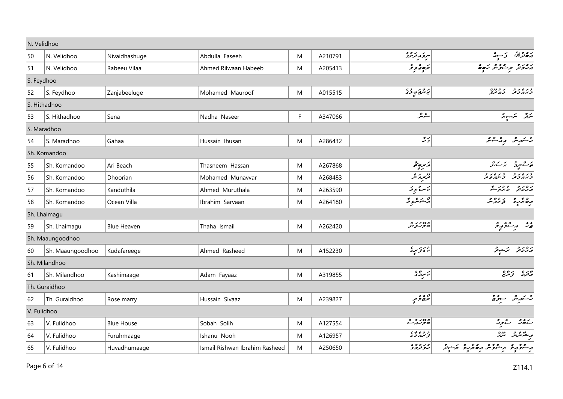|             | N. Velidhoo      |                    |                                |             |         |                                    |                                  |
|-------------|------------------|--------------------|--------------------------------|-------------|---------|------------------------------------|----------------------------------|
| 50          | N. Velidhoo      | Nivaidhashuge      | Abdulla Faseeh                 | M           | A210791 | سرە مەر تەر                        | رە داللە   ترىسە يە              |
| 51          | N. Velidhoo      | Rabeeu Vilaa       | Ahmed Rilwaan Habeeb           | M           | A205413 | برَھور و څ                         | رەر دې برخوش كرك ك               |
| S. Feydhoo  |                  |                    |                                |             |         |                                    |                                  |
| 52          | S. Feydhoo       | Zanjabeeluge       | Mohamed Mauroof                | M           | A015515 | ئے مربئے جو تر ک                   | כנסנכ נכחם<br>כממכני כמינצ       |
|             | S. Hithadhoo     |                    |                                |             |         |                                    |                                  |
| 53          | S. Hithadhoo     | Sena               | Nadha Naseer                   | $\mathsf F$ | A347066 | ئەيتر                              | أنترقش التكريبونثى               |
|             | S. Maradhoo      |                    |                                |             |         |                                    |                                  |
| 54          | S. Maradhoo      | Gahaa              | Hussain Ihusan                 | M           | A286432 | ىرچ                                | ج ڪهر شريد مرڪب شهر              |
|             | Sh. Komandoo     |                    |                                |             |         |                                    |                                  |
| 55          | Sh. Komandoo     | Ari Beach          | Thasneem Hassan                | M           | A267868 | ترسره تح                           | ۇسمىرچ بەسكىر                    |
| 56          | Sh. Komandoo     | Dhoorian           | Mohamed Munavvar               | M           | A268483 | لترمرير                            | כנסנכ כנסנכ<br>בגהכת כיתהפיק     |
| 57          | Sh. Komandoo     | Kanduthila         | Ahmed Muruthala                | M           | A263590 | ر<br>سور موځه                      | رەرد ددرى                        |
| 58          | Sh. Komandoo     | Ocean Villa        | Ibrahim Sarvaan                | M           | A264180 | ە ئەيئە مى <i>تى</i> رى <i>م</i> ۇ | رەپرىر ئەدەر                     |
|             | Sh. Lhaimagu     |                    |                                |             |         |                                    |                                  |
| 59          | Sh. Lhaimagu     | <b>Blue Heaven</b> | Thaha Ismail                   | M           | A262420 | ه دو ، ر ه<br>ت <i>ه محر ر</i> چر  | ومحر بالمستحصفة                  |
|             | Sh. Maaungoodhoo |                    |                                |             |         |                                    |                                  |
| 60          | Sh. Maaungoodhoo | Kudafareege        | Ahmed Rasheed                  | M           | A152230 | ج ئەسىرى<br>مائىي توسىرى           | رەرو كەشەر<br>مەركىز كەشەم       |
|             | Sh. Milandhoo    |                    |                                |             |         |                                    |                                  |
| 61          | Sh. Milandhoo    | Kashimaage         | Adam Fayaaz                    | M           | A319855 | ر روسی<br>ما مروکا                 | وره ژوه<br>مردر ژمر <sub>ی</sub> |
|             | Th. Guraidhoo    |                    |                                |             |         |                                    |                                  |
| 62          | Th. Guraidhoo    | Rose marry         | Hussain Sivaaz                 | M           | A239827 | ہ ہ ء<br>مربح څر مړ                | جرسكور شروعي                     |
| V. Fulidhoo |                  |                    |                                |             |         |                                    |                                  |
| 63          | V. Fulidhoo      | <b>Blue House</b>  | Sobah Solih                    | M           | A127554 | ە دىر دې<br>ھىرىر كە               | بەھ<br>ستكور                     |
| 64          | V. Fulidhoo      | Furuhmaage         | Ishanu Nooh                    | M           | A126957 | و وه و د<br>تو بوړو د              | ر شەھەر بىرە                     |
| 65          | V. Fulidhoo      | Huvadhumaage       | Ismail Rishwan Ibrahim Rasheed | M           | A250650 | و ر و د »<br>ر ه ترو د             | بر دور و مرشور مرد ده مرکز مرشود |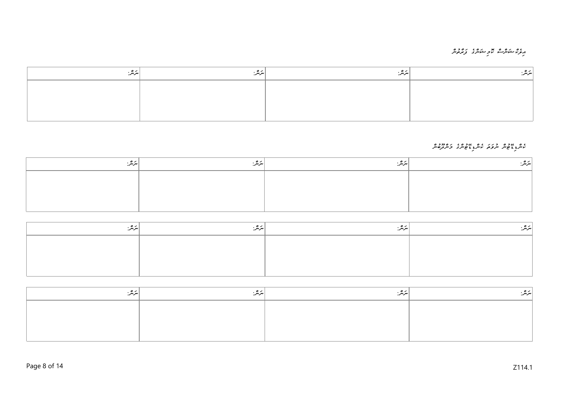## *w7qAn8m?sCw7mRo>u;wEw7mRw;sBo<*

| ' مرمر | 'يئرىثر: |
|--------|----------|
|        |          |
|        |          |
|        |          |

## w*99907 c99u 02 y990 c9000*<br>מית 29 gam=y*7gram*<br>ק

| ىر تە | $\mathcal{O} \times$<br>$\sim$ | $\sim$<br>. . | لترنثر |
|-------|--------------------------------|---------------|--------|
|       |                                |               |        |
|       |                                |               |        |
|       |                                |               |        |

| $\frac{2}{n}$ | $\overline{\phantom{a}}$ | اير هنه. | $\mathcal{O} \times$<br>سرسر |
|---------------|--------------------------|----------|------------------------------|
|               |                          |          |                              |
|               |                          |          |                              |
|               |                          |          |                              |

| ىرتىر: | 。<br>سر سر | .,<br>مرسر |
|--------|------------|------------|
|        |            |            |
|        |            |            |
|        |            |            |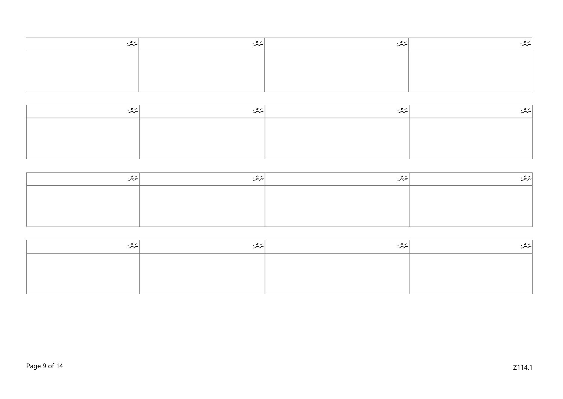| يزهر | $\mathcal{\mathcal{L}}$ | ىئرىتر: |  |
|------|-------------------------|---------|--|
|      |                         |         |  |
|      |                         |         |  |
|      |                         |         |  |

| <sup>.</sup> سرسر. |  |
|--------------------|--|
|                    |  |
|                    |  |
|                    |  |

| ىئرىتر. | $\sim$ | ا بر هه. | لىرىش |
|---------|--------|----------|-------|
|         |        |          |       |
|         |        |          |       |
|         |        |          |       |

| $\overline{\phantom{a}}$<br>سرس. | ر ه<br>,,,<br>$\sim$ | . . | 。<br>سرس. |
|----------------------------------|----------------------|-----|-----------|
|                                  |                      |     |           |
|                                  |                      |     |           |
|                                  |                      |     |           |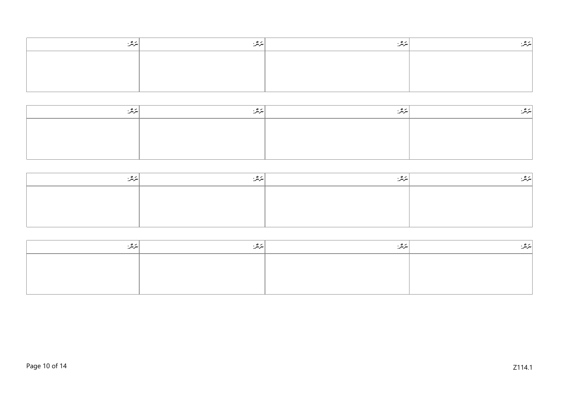| ير هو . | $\overline{\phantom{a}}$ | يرمر | اير هنه. |
|---------|--------------------------|------|----------|
|         |                          |      |          |
|         |                          |      |          |
|         |                          |      |          |

| ىبرىر. | $\sim$<br>ا سرسر . | يئرمثر | o . |
|--------|--------------------|--------|-----|
|        |                    |        |     |
|        |                    |        |     |
|        |                    |        |     |

| انترنثر: | ر ه |  |
|----------|-----|--|
|          |     |  |
|          |     |  |
|          |     |  |

| $\overline{\phantom{a}}$<br>سرسر. |  |  |
|-----------------------------------|--|--|
|                                   |  |  |
|                                   |  |  |
|                                   |  |  |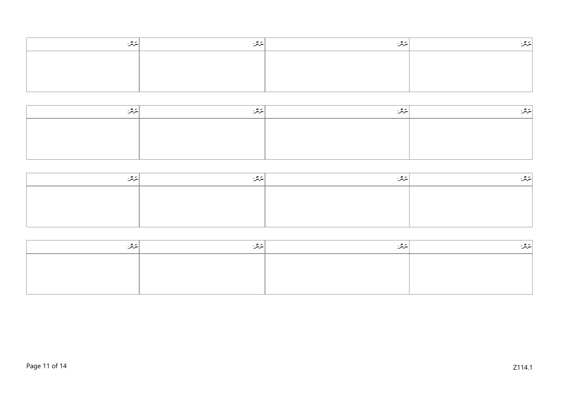| ير هو . | $\overline{\phantom{a}}$ | يرمر | اير هنه. |
|---------|--------------------------|------|----------|
|         |                          |      |          |
|         |                          |      |          |
|         |                          |      |          |

| ىبرىر. | $\sim$<br>ا سرسر . | يئرمثر | o . |
|--------|--------------------|--------|-----|
|        |                    |        |     |
|        |                    |        |     |
|        |                    |        |     |

| 'تترنثر: | ر ه |  |
|----------|-----|--|
|          |     |  |
|          |     |  |
|          |     |  |

| $\overline{\phantom{a}}$<br>سرسر. |  |  |
|-----------------------------------|--|--|
|                                   |  |  |
|                                   |  |  |
|                                   |  |  |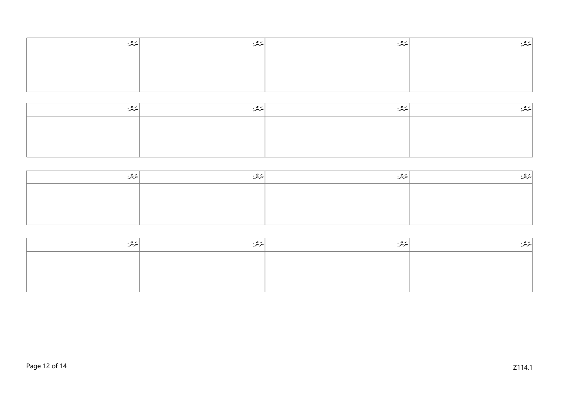| $\cdot$ | 。 | $\frac{\circ}{\cdot}$ | $\sim$<br>سرسر |
|---------|---|-----------------------|----------------|
|         |   |                       |                |
|         |   |                       |                |
|         |   |                       |                |

| يريثن | ' سرسر . |  |
|-------|----------|--|
|       |          |  |
|       |          |  |
|       |          |  |

| بر ه | . ه | $\sim$<br>سرسر |  |
|------|-----|----------------|--|
|      |     |                |  |
|      |     |                |  |
|      |     |                |  |

| 。<br>. س | ىرىىر |  |
|----------|-------|--|
|          |       |  |
|          |       |  |
|          |       |  |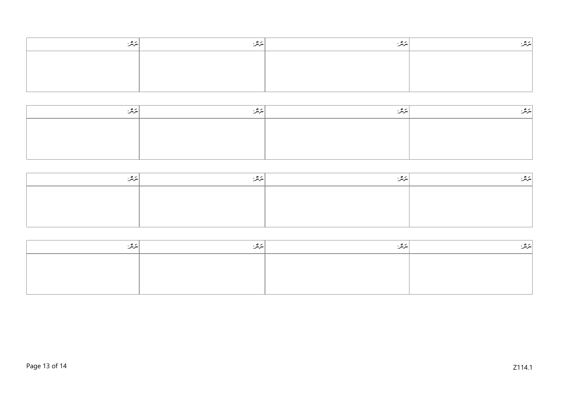| ير هو . | $\overline{\phantom{a}}$ | يرمر | اير هنه. |
|---------|--------------------------|------|----------|
|         |                          |      |          |
|         |                          |      |          |
|         |                          |      |          |

| ىبرىر. | $\sim$<br>ا سرسر . | يئرمثر | o . |
|--------|--------------------|--------|-----|
|        |                    |        |     |
|        |                    |        |     |
|        |                    |        |     |

| 。 | . .<br>سمرسمد. | ىئرىتىز: |
|---|----------------|----------|
|   |                |          |
|   |                |          |
|   |                |          |

| $\overline{\phantom{a}}$<br>سرسر. |  |  |
|-----------------------------------|--|--|
|                                   |  |  |
|                                   |  |  |
|                                   |  |  |